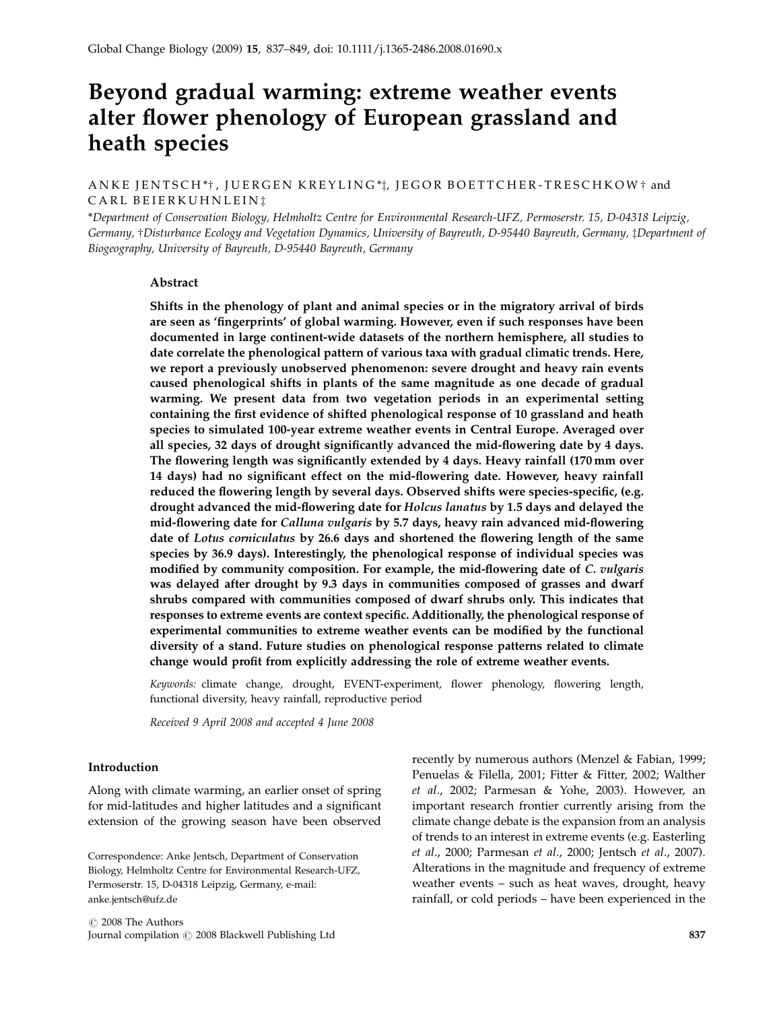# Beyond gradual warming: extreme weather events alter flower phenology of European grassland and heath species

# ANKE IENTSCH\*†, JUERGEN KREYLING\*‡, JEGOR BOETTCHER-TRESCHKOW † and CARL BEIERKUHNLEIN !

\*Department of Conservation Biology, Helmholtz Centre for Environmental Research-UFZ, Permoserstr. 15, D-04318 Leipzig, Germany, †Disturbance Ecology and Vegetation Dynamics, University of Bayreuth, D-95440 Bayreuth, Germany, ‡Department of Biogeography, University of Bayreuth, D-95440 Bayreuth, Germany

## Abstract

Shifts in the phenology of plant and animal species or in the migratory arrival of birds are seen as 'fingerprints' of global warming. However, even if such responses have been documented in large continent-wide datasets of the northern hemisphere, all studies to date correlate the phenological pattern of various taxa with gradual climatic trends. Here, we report a previously unobserved phenomenon: severe drought and heavy rain events caused phenological shifts in plants of the same magnitude as one decade of gradual warming. We present data from two vegetation periods in an experimental setting containing the first evidence of shifted phenological response of 10 grassland and heath species to simulated 100-year extreme weather events in Central Europe. Averaged over all species, 32 days of drought significantly advanced the mid-flowering date by 4 days. The flowering length was significantly extended by 4 days. Heavy rainfall (170 mm over 14 days) had no significant effect on the mid-flowering date. However, heavy rainfall reduced the flowering length by several days. Observed shifts were species-specific, (e.g. drought advanced the mid-flowering date for Holcus lanatus by 1.5 days and delayed the mid-flowering date for Calluna vulgaris by 5.7 days, heavy rain advanced mid-flowering date of Lotus corniculatus by 26.6 days and shortened the flowering length of the same species by 36.9 days). Interestingly, the phenological response of individual species was modified by community composition. For example, the mid-flowering date of C. vulgaris was delayed after drought by 9.3 days in communities composed of grasses and dwarf shrubs compared with communities composed of dwarf shrubs only. This indicates that responses to extreme events are context specific. Additionally, the phenological response of experimental communities to extreme weather events can be modified by the functional diversity of a stand. Future studies on phenological response patterns related to climate change would profit from explicitly addressing the role of extreme weather events.

Keywords: climate change, drought, EVENT-experiment, flower phenology, flowering length, functional diversity, heavy rainfall, reproductive period

Received 9 April 2008 and accepted 4 June 2008

## Introduction

Along with climate warming, an earlier onset of spring for mid-latitudes and higher latitudes and a significant extension of the growing season have been observed

Correspondence: Anke Jentsch, Department of Conservation Biology, Helmholtz Centre for Environmental Research-UFZ, Permoserstr. 15, D-04318 Leipzig, Germany, e-mail: anke.jentsch@ufz.de

 $\odot$  2008 The Authors Journal compilation © 2008 Blackwell Publishing Ltd 837

recently by numerous authors (Menzel & Fabian, 1999; Penuelas & Filella, 2001; Fitter & Fitter, 2002; Walther et al., 2002; Parmesan & Yohe, 2003). However, an important research frontier currently arising from the climate change debate is the expansion from an analysis of trends to an interest in extreme events (e.g. Easterling et al., 2000; Parmesan et al., 2000; Jentsch et al., 2007). Alterations in the magnitude and frequency of extreme weather events – such as heat waves, drought, heavy rainfall, or cold periods – have been experienced in the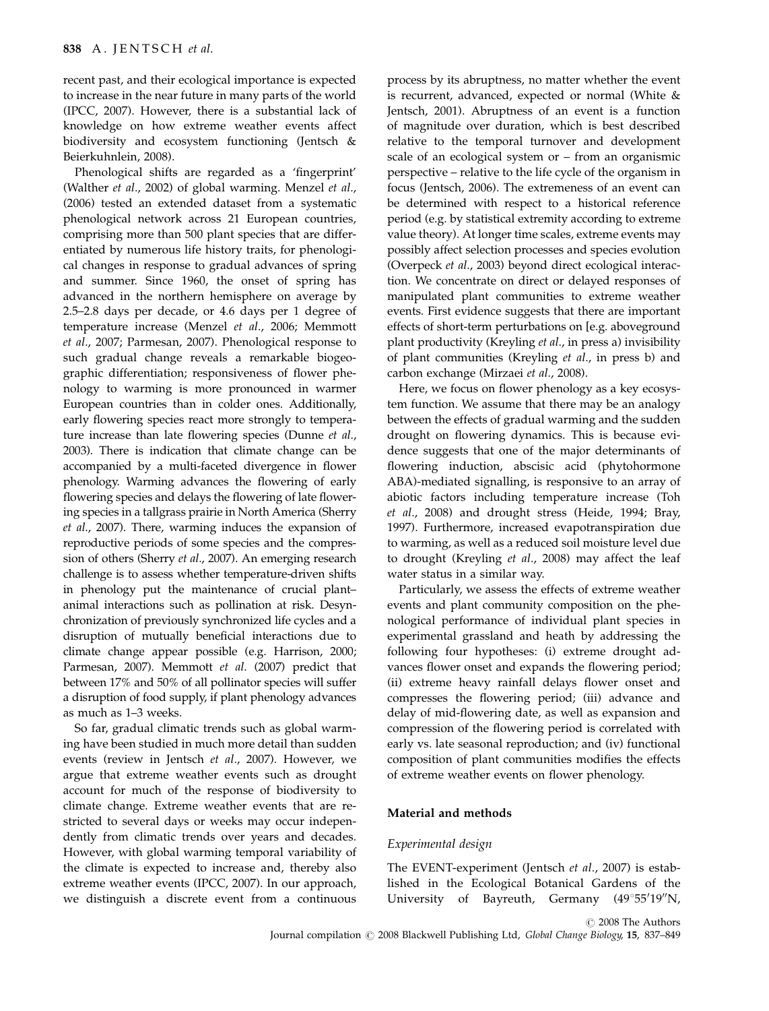recent past, and their ecological importance is expected to increase in the near future in many parts of the world (IPCC, 2007). However, there is a substantial lack of knowledge on how extreme weather events affect biodiversity and ecosystem functioning (Jentsch & Beierkuhnlein, 2008).

Phenological shifts are regarded as a 'fingerprint' (Walther et al., 2002) of global warming. Menzel et al., (2006) tested an extended dataset from a systematic phenological network across 21 European countries, comprising more than 500 plant species that are differentiated by numerous life history traits, for phenological changes in response to gradual advances of spring and summer. Since 1960, the onset of spring has advanced in the northern hemisphere on average by 2.5–2.8 days per decade, or 4.6 days per 1 degree of temperature increase (Menzel et al., 2006; Memmott et al., 2007; Parmesan, 2007). Phenological response to such gradual change reveals a remarkable biogeographic differentiation; responsiveness of flower phenology to warming is more pronounced in warmer European countries than in colder ones. Additionally, early flowering species react more strongly to temperature increase than late flowering species (Dunne et al., 2003). There is indication that climate change can be accompanied by a multi-faceted divergence in flower phenology. Warming advances the flowering of early flowering species and delays the flowering of late flowering species in a tallgrass prairie in North America (Sherry et al., 2007). There, warming induces the expansion of reproductive periods of some species and the compression of others (Sherry et al., 2007). An emerging research challenge is to assess whether temperature-driven shifts in phenology put the maintenance of crucial plant– animal interactions such as pollination at risk. Desynchronization of previously synchronized life cycles and a disruption of mutually beneficial interactions due to climate change appear possible (e.g. Harrison, 2000; Parmesan, 2007). Memmott et al. (2007) predict that between 17% and 50% of all pollinator species will suffer a disruption of food supply, if plant phenology advances as much as 1–3 weeks.

So far, gradual climatic trends such as global warming have been studied in much more detail than sudden events (review in Jentsch et al., 2007). However, we argue that extreme weather events such as drought account for much of the response of biodiversity to climate change. Extreme weather events that are restricted to several days or weeks may occur independently from climatic trends over years and decades. However, with global warming temporal variability of the climate is expected to increase and, thereby also extreme weather events (IPCC, 2007). In our approach, we distinguish a discrete event from a continuous

process by its abruptness, no matter whether the event is recurrent, advanced, expected or normal (White & Jentsch, 2001). Abruptness of an event is a function of magnitude over duration, which is best described relative to the temporal turnover and development scale of an ecological system or – from an organismic perspective – relative to the life cycle of the organism in focus (Jentsch, 2006). The extremeness of an event can be determined with respect to a historical reference period (e.g. by statistical extremity according to extreme value theory). At longer time scales, extreme events may possibly affect selection processes and species evolution (Overpeck et al., 2003) beyond direct ecological interaction. We concentrate on direct or delayed responses of manipulated plant communities to extreme weather events. First evidence suggests that there are important effects of short-term perturbations on [e.g. aboveground plant productivity (Kreyling et al., in press a) invisibility of plant communities (Kreyling et al., in press b) and carbon exchange (Mirzaei et al., 2008).

Here, we focus on flower phenology as a key ecosystem function. We assume that there may be an analogy between the effects of gradual warming and the sudden drought on flowering dynamics. This is because evidence suggests that one of the major determinants of flowering induction, abscisic acid (phytohormone ABA)-mediated signalling, is responsive to an array of abiotic factors including temperature increase (Toh et al., 2008) and drought stress (Heide, 1994; Bray, 1997). Furthermore, increased evapotranspiration due to warming, as well as a reduced soil moisture level due to drought (Kreyling et al., 2008) may affect the leaf water status in a similar way.

Particularly, we assess the effects of extreme weather events and plant community composition on the phenological performance of individual plant species in experimental grassland and heath by addressing the following four hypotheses: (i) extreme drought advances flower onset and expands the flowering period; (ii) extreme heavy rainfall delays flower onset and compresses the flowering period; (iii) advance and delay of mid-flowering date, as well as expansion and compression of the flowering period is correlated with early vs. late seasonal reproduction; and (iv) functional composition of plant communities modifies the effects of extreme weather events on flower phenology.

## Material and methods

## Experimental design

The EVENT-experiment (Jentsch et al., 2007) is established in the Ecological Botanical Gardens of the University of Bayreuth, Germany (49°55'19"N,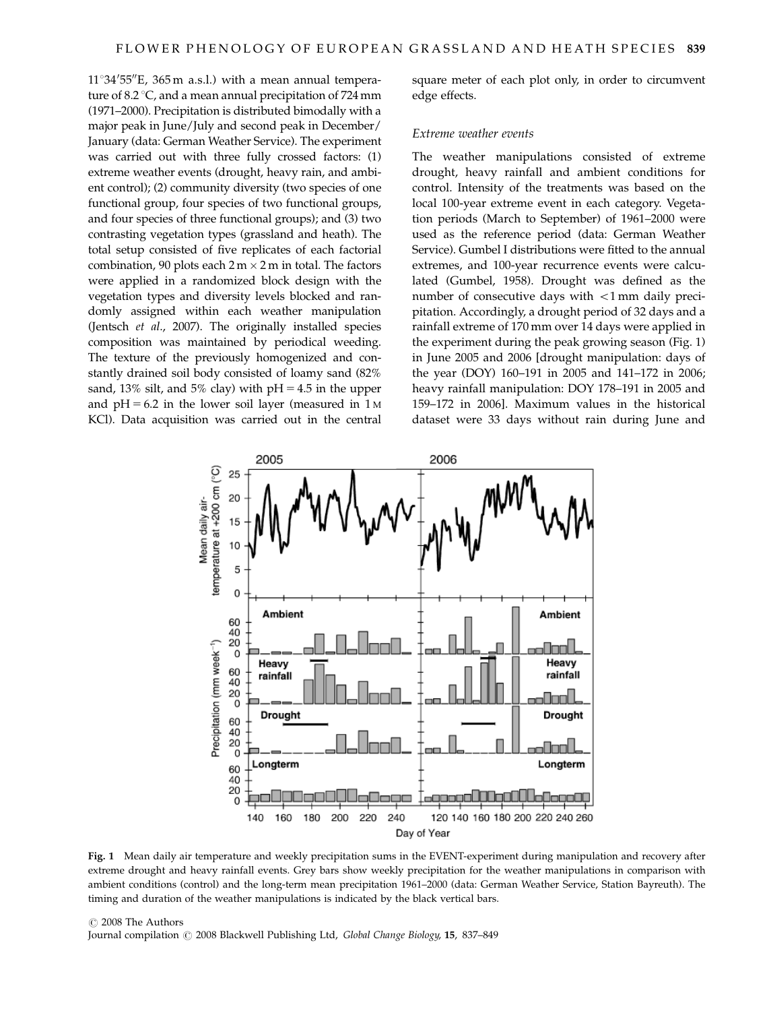$11^{\circ}34'55''E$ ,  $365$  m a.s.l.) with a mean annual temperature of 8.2  $\degree$ C, and a mean annual precipitation of 724 mm (1971–2000). Precipitation is distributed bimodally with a major peak in June/July and second peak in December/ January (data: German Weather Service). The experiment was carried out with three fully crossed factors: (1) extreme weather events (drought, heavy rain, and ambient control); (2) community diversity (two species of one functional group, four species of two functional groups, and four species of three functional groups); and (3) two contrasting vegetation types (grassland and heath). The total setup consisted of five replicates of each factorial combination, 90 plots each  $2 \text{ m} \times 2 \text{ m}$  in total. The factors were applied in a randomized block design with the vegetation types and diversity levels blocked and randomly assigned within each weather manipulation (Jentsch et al., 2007). The originally installed species composition was maintained by periodical weeding. The texture of the previously homogenized and constantly drained soil body consisted of loamy sand (82% sand, 13% silt, and 5% clay) with  $pH = 4.5$  in the upper and  $pH = 6.2$  in the lower soil layer (measured in  $1 \text{M}$ KCl). Data acquisition was carried out in the central square meter of each plot only, in order to circumvent edge effects.

#### Extreme weather events

The weather manipulations consisted of extreme drought, heavy rainfall and ambient conditions for control. Intensity of the treatments was based on the local 100-year extreme event in each category. Vegetation periods (March to September) of 1961–2000 were used as the reference period (data: German Weather Service). Gumbel I distributions were fitted to the annual extremes, and 100-year recurrence events were calculated (Gumbel, 1958). Drought was defined as the number of consecutive days with  $\langle 1 \rangle$  mm daily precipitation. Accordingly, a drought period of 32 days and a rainfall extreme of 170 mm over 14 days were applied in the experiment during the peak growing season (Fig. 1) in June 2005 and 2006 [drought manipulation: days of the year (DOY) 160–191 in 2005 and 141–172 in 2006; heavy rainfall manipulation: DOY 178–191 in 2005 and 159–172 in 2006]. Maximum values in the historical dataset were 33 days without rain during June and



Fig. 1 Mean daily air temperature and weekly precipitation sums in the EVENT-experiment during manipulation and recovery after extreme drought and heavy rainfall events. Grey bars show weekly precipitation for the weather manipulations in comparison with ambient conditions (control) and the long-term mean precipitation 1961–2000 (data: German Weather Service, Station Bayreuth). The timing and duration of the weather manipulations is indicated by the black vertical bars.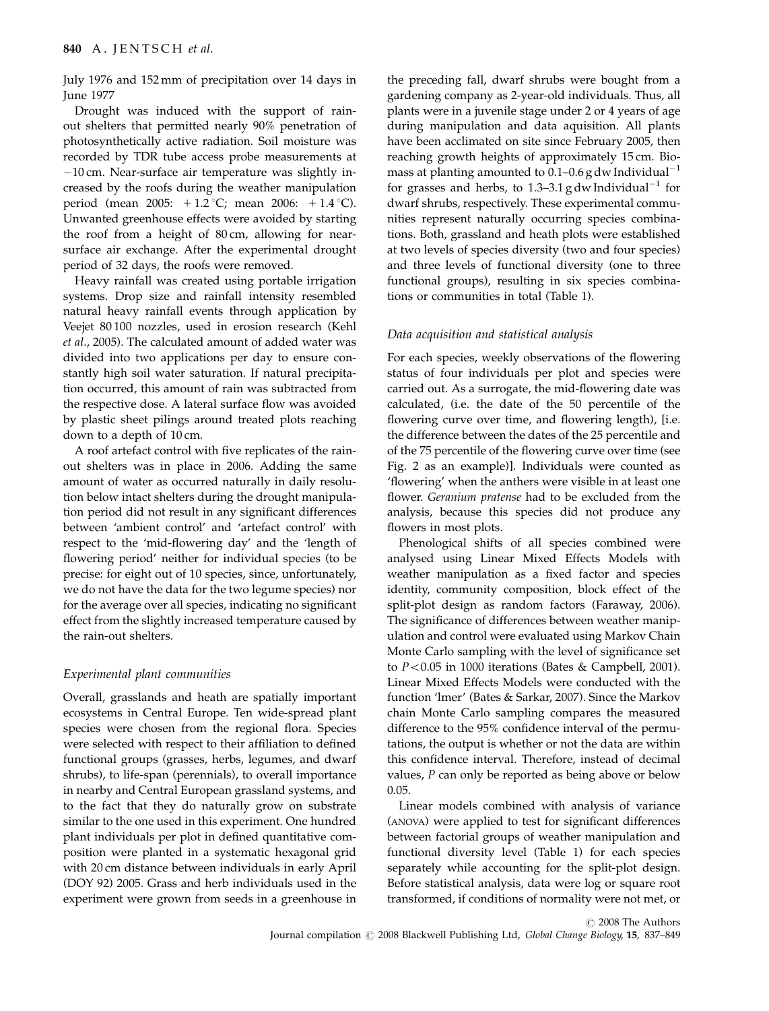July 1976 and 152 mm of precipitation over 14 days in June 1977

Drought was induced with the support of rainout shelters that permitted nearly 90% penetration of photosynthetically active radiation. Soil moisture was recorded by TDR tube access probe measurements at  $-10$  cm. Near-surface air temperature was slightly increased by the roofs during the weather manipulation period (mean 2005:  $+1.2$  °C; mean 2006:  $+1.4$  °C). Unwanted greenhouse effects were avoided by starting the roof from a height of 80 cm, allowing for nearsurface air exchange. After the experimental drought period of 32 days, the roofs were removed.

Heavy rainfall was created using portable irrigation systems. Drop size and rainfall intensity resembled natural heavy rainfall events through application by Veejet 80 100 nozzles, used in erosion research (Kehl et al., 2005). The calculated amount of added water was divided into two applications per day to ensure constantly high soil water saturation. If natural precipitation occurred, this amount of rain was subtracted from the respective dose. A lateral surface flow was avoided by plastic sheet pilings around treated plots reaching down to a depth of 10 cm.

A roof artefact control with five replicates of the rainout shelters was in place in 2006. Adding the same amount of water as occurred naturally in daily resolution below intact shelters during the drought manipulation period did not result in any significant differences between 'ambient control' and 'artefact control' with respect to the 'mid-flowering day' and the 'length of flowering period' neither for individual species (to be precise: for eight out of 10 species, since, unfortunately, we do not have the data for the two legume species) nor for the average over all species, indicating no significant effect from the slightly increased temperature caused by the rain-out shelters.

## Experimental plant communities

Overall, grasslands and heath are spatially important ecosystems in Central Europe. Ten wide-spread plant species were chosen from the regional flora. Species were selected with respect to their affiliation to defined functional groups (grasses, herbs, legumes, and dwarf shrubs), to life-span (perennials), to overall importance in nearby and Central European grassland systems, and to the fact that they do naturally grow on substrate similar to the one used in this experiment. One hundred plant individuals per plot in defined quantitative composition were planted in a systematic hexagonal grid with 20 cm distance between individuals in early April (DOY 92) 2005. Grass and herb individuals used in the experiment were grown from seeds in a greenhouse in

the preceding fall, dwarf shrubs were bought from a gardening company as 2-year-old individuals. Thus, all plants were in a juvenile stage under 2 or 4 years of age during manipulation and data aquisition. All plants have been acclimated on site since February 2005, then reaching growth heights of approximately 15 cm. Biomass at planting amounted to  $0.1-0.6$  g dw Individual<sup>-1</sup> for grasses and herbs, to 1.3–3.1 g dw Individual<sup>-1</sup> for dwarf shrubs, respectively. These experimental communities represent naturally occurring species combinations. Both, grassland and heath plots were established at two levels of species diversity (two and four species) and three levels of functional diversity (one to three functional groups), resulting in six species combinations or communities in total (Table 1).

## Data acquisition and statistical analysis

For each species, weekly observations of the flowering status of four individuals per plot and species were carried out. As a surrogate, the mid-flowering date was calculated, (i.e. the date of the 50 percentile of the flowering curve over time, and flowering length), [i.e. the difference between the dates of the 25 percentile and of the 75 percentile of the flowering curve over time (see Fig. 2 as an example)]. Individuals were counted as 'flowering' when the anthers were visible in at least one flower. Geranium pratense had to be excluded from the analysis, because this species did not produce any flowers in most plots.

Phenological shifts of all species combined were analysed using Linear Mixed Effects Models with weather manipulation as a fixed factor and species identity, community composition, block effect of the split-plot design as random factors (Faraway, 2006). The significance of differences between weather manipulation and control were evaluated using Markov Chain Monte Carlo sampling with the level of significance set to  $P < 0.05$  in 1000 iterations (Bates & Campbell, 2001). Linear Mixed Effects Models were conducted with the function 'lmer' (Bates & Sarkar, 2007). Since the Markov chain Monte Carlo sampling compares the measured difference to the 95% confidence interval of the permutations, the output is whether or not the data are within this confidence interval. Therefore, instead of decimal values, P can only be reported as being above or below 0.05.

Linear models combined with analysis of variance (ANOVA) were applied to test for significant differences between factorial groups of weather manipulation and functional diversity level (Table 1) for each species separately while accounting for the split-plot design. Before statistical analysis, data were log or square root transformed, if conditions of normality were not met, or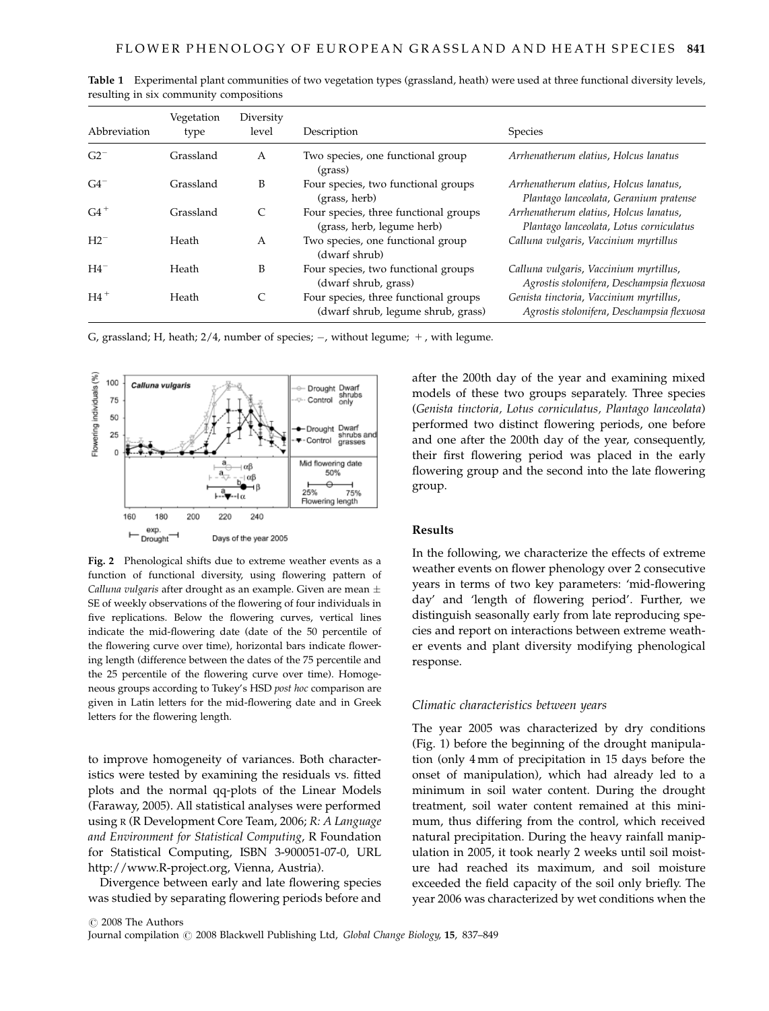| Abbreviation | Vegetation<br>type | Diversity<br>level | Description                                                                 | <b>Species</b>                                                                        |
|--------------|--------------------|--------------------|-----------------------------------------------------------------------------|---------------------------------------------------------------------------------------|
| $G2^-$       | Grassland          | А                  | Two species, one functional group<br>(grass)                                | Arrhenatherum elatius, Holcus lanatus                                                 |
| $G4^-$       | Grassland          | B                  | Four species, two functional groups<br>(grass, herb)                        | Arrhenatherum elatius, Holcus lanatus,<br>Plantago lanceolata, Geranium pratense      |
| $G4^+$       | Grassland          | C                  | Four species, three functional groups<br>(grass, herb, legume herb)         | Arrhenatherum elatius, Holcus lanatus,<br>Plantago lanceolata, Lotus corniculatus     |
| $H2^-$       | Heath              | А                  | Two species, one functional group<br>(dwarf shrub)                          | Calluna vulgaris, Vaccinium myrtillus                                                 |
| $H4^-$       | Heath              | B                  | Four species, two functional groups<br>(dwarf shrub, grass)                 | Calluna vulgaris, Vaccinium myrtillus,<br>Agrostis stolonifera, Deschampsia flexuosa  |
| $H4^+$       | Heath              | C                  | Four species, three functional groups<br>(dwarf shrub, legume shrub, grass) | Genista tinctoria, Vaccinium myrtillus,<br>Agrostis stolonifera, Deschampsia flexuosa |

Table 1 Experimental plant communities of two vegetation types (grassland, heath) were used at three functional diversity levels, resulting in six community compositions

G, grassland; H, heath;  $2/4$ , number of species;  $-$ , without legume;  $+$ , with legume.



Fig. 2 Phenological shifts due to extreme weather events as a function of functional diversity, using flowering pattern of Calluna vulgaris after drought as an example. Given are mean  $\pm$ SE of weekly observations of the flowering of four individuals in five replications. Below the flowering curves, vertical lines indicate the mid-flowering date (date of the 50 percentile of the flowering curve over time), horizontal bars indicate flowering length (difference between the dates of the 75 percentile and the 25 percentile of the flowering curve over time). Homogeneous groups according to Tukey's HSD post hoc comparison are given in Latin letters for the mid-flowering date and in Greek letters for the flowering length.

to improve homogeneity of variances. Both characteristics were tested by examining the residuals vs. fitted plots and the normal qq-plots of the Linear Models (Faraway, 2005). All statistical analyses were performed using R (R Development Core Team, 2006; R: A Language and Environment for Statistical Computing, R Foundation for Statistical Computing, ISBN 3-900051-07-0, URL http://www.R-project.org, Vienna, Austria).

Divergence between early and late flowering species was studied by separating flowering periods before and after the 200th day of the year and examining mixed models of these two groups separately. Three species (Genista tinctoria, Lotus corniculatus, Plantago lanceolata) performed two distinct flowering periods, one before and one after the 200th day of the year, consequently, their first flowering period was placed in the early flowering group and the second into the late flowering group.

#### Results

In the following, we characterize the effects of extreme weather events on flower phenology over 2 consecutive years in terms of two key parameters: 'mid-flowering day' and 'length of flowering period'. Further, we distinguish seasonally early from late reproducing species and report on interactions between extreme weather events and plant diversity modifying phenological response.

#### Climatic characteristics between years

The year 2005 was characterized by dry conditions (Fig. 1) before the beginning of the drought manipulation (only 4 mm of precipitation in 15 days before the onset of manipulation), which had already led to a minimum in soil water content. During the drought treatment, soil water content remained at this minimum, thus differing from the control, which received natural precipitation. During the heavy rainfall manipulation in 2005, it took nearly 2 weeks until soil moisture had reached its maximum, and soil moisture exceeded the field capacity of the soil only briefly. The year 2006 was characterized by wet conditions when the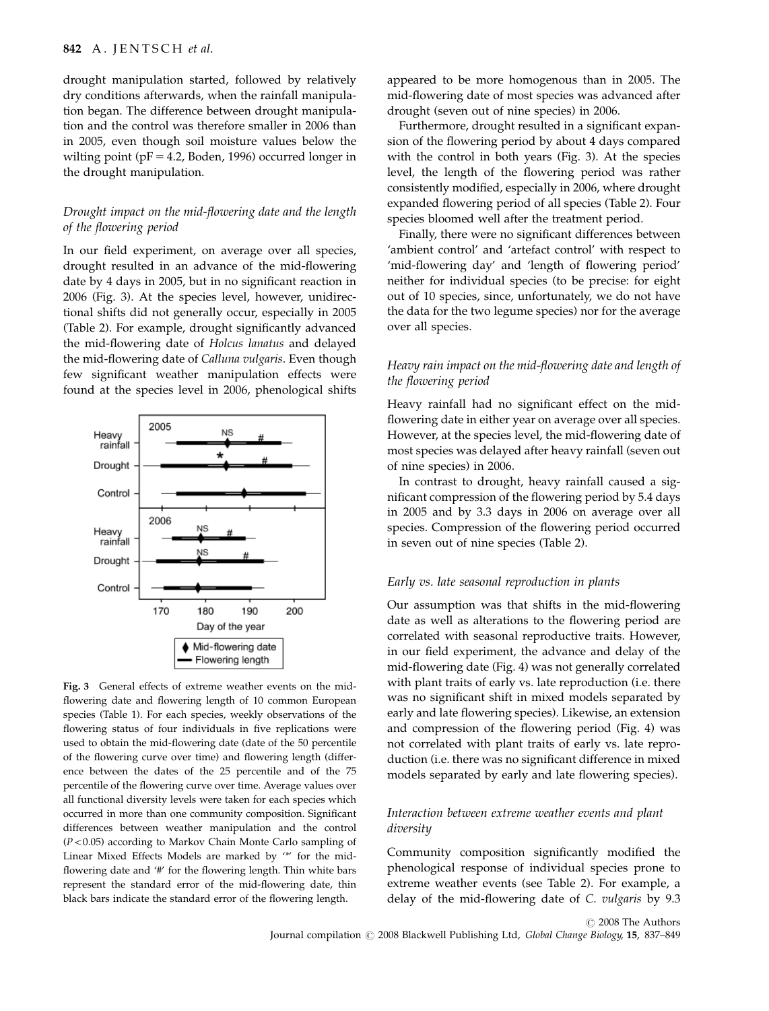drought manipulation started, followed by relatively dry conditions afterwards, when the rainfall manipulation began. The difference between drought manipulation and the control was therefore smaller in 2006 than in 2005, even though soil moisture values below the wilting point ( $pF = 4.2$ , Boden, 1996) occurred longer in the drought manipulation.

## Drought impact on the mid-flowering date and the length of the flowering period

In our field experiment, on average over all species, drought resulted in an advance of the mid-flowering date by 4 days in 2005, but in no significant reaction in 2006 (Fig. 3). At the species level, however, unidirectional shifts did not generally occur, especially in 2005 (Table 2). For example, drought significantly advanced the mid-flowering date of Holcus lanatus and delayed the mid-flowering date of Calluna vulgaris. Even though few significant weather manipulation effects were found at the species level in 2006, phenological shifts



Fig. 3 General effects of extreme weather events on the midflowering date and flowering length of 10 common European species (Table 1). For each species, weekly observations of the flowering status of four individuals in five replications were used to obtain the mid-flowering date (date of the 50 percentile of the flowering curve over time) and flowering length (difference between the dates of the 25 percentile and of the 75 percentile of the flowering curve over time. Average values over all functional diversity levels were taken for each species which occurred in more than one community composition. Significant differences between weather manipulation and the control  $(P<0.05)$  according to Markov Chain Monte Carlo sampling of Linear Mixed Effects Models are marked by '\*' for the midflowering date and '#' for the flowering length. Thin white bars represent the standard error of the mid-flowering date, thin black bars indicate the standard error of the flowering length.

appeared to be more homogenous than in 2005. The mid-flowering date of most species was advanced after drought (seven out of nine species) in 2006.

Furthermore, drought resulted in a significant expansion of the flowering period by about 4 days compared with the control in both years (Fig. 3). At the species level, the length of the flowering period was rather consistently modified, especially in 2006, where drought expanded flowering period of all species (Table 2). Four species bloomed well after the treatment period.

Finally, there were no significant differences between 'ambient control' and 'artefact control' with respect to 'mid-flowering day' and 'length of flowering period' neither for individual species (to be precise: for eight out of 10 species, since, unfortunately, we do not have the data for the two legume species) nor for the average over all species.

# Heavy rain impact on the mid-flowering date and length of the flowering period

Heavy rainfall had no significant effect on the midflowering date in either year on average over all species. However, at the species level, the mid-flowering date of most species was delayed after heavy rainfall (seven out of nine species) in 2006.

In contrast to drought, heavy rainfall caused a significant compression of the flowering period by 5.4 days in 2005 and by 3.3 days in 2006 on average over all species. Compression of the flowering period occurred in seven out of nine species (Table 2).

# Early vs. late seasonal reproduction in plants

Our assumption was that shifts in the mid-flowering date as well as alterations to the flowering period are correlated with seasonal reproductive traits. However, in our field experiment, the advance and delay of the mid-flowering date (Fig. 4) was not generally correlated with plant traits of early vs. late reproduction (i.e. there was no significant shift in mixed models separated by early and late flowering species). Likewise, an extension and compression of the flowering period (Fig. 4) was not correlated with plant traits of early vs. late reproduction (i.e. there was no significant difference in mixed models separated by early and late flowering species).

# Interaction between extreme weather events and plant diversity

Community composition significantly modified the phenological response of individual species prone to extreme weather events (see Table 2). For example, a delay of the mid-flowering date of C. vulgaris by 9.3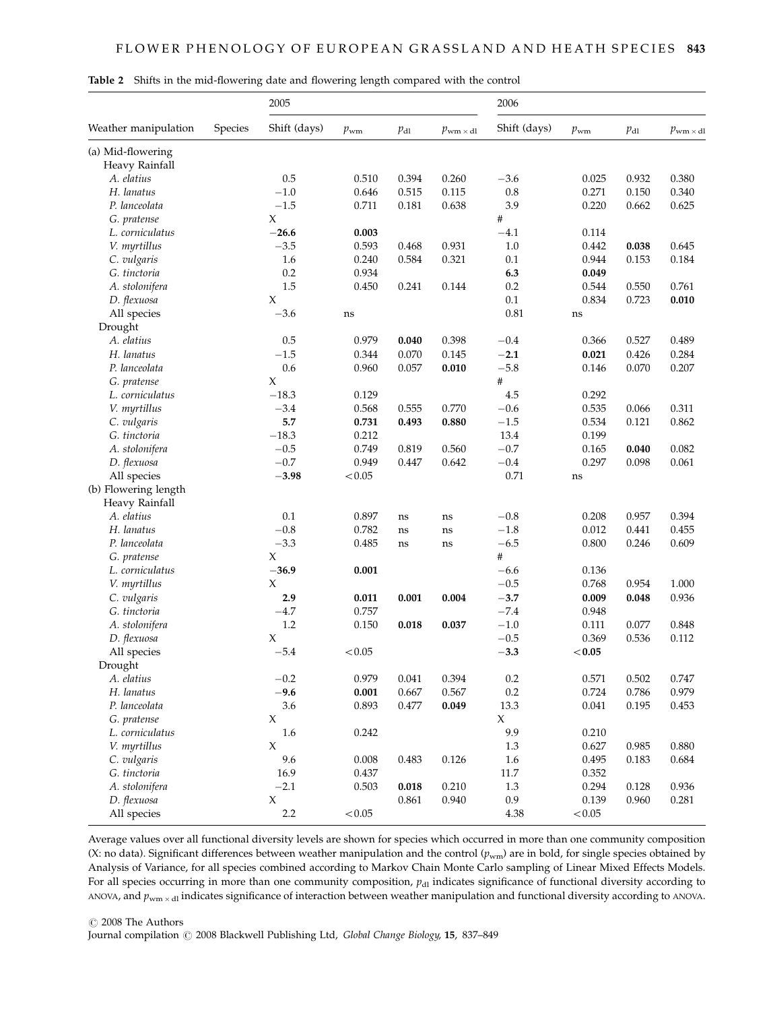|                      |         | 2005         |          |              |                                  | 2006         |          |           |                        |
|----------------------|---------|--------------|----------|--------------|----------------------------------|--------------|----------|-----------|------------------------|
| Weather manipulation | Species | Shift (days) | $p_{wm}$ | $p_{\rm dl}$ | $p_{\text{wm} \times \text{dl}}$ | Shift (days) | $p_{wm}$ | $p_{d1}$  | $p_{\rm wm} \times$ dl |
| (a) Mid-flowering    |         |              |          |              |                                  |              |          |           |                        |
| Heavy Rainfall       |         |              |          |              |                                  |              |          |           |                        |
| A. elatius           |         | 0.5          | 0.510    | 0.394        | 0.260                            | $-3.6$       | 0.025    | 0.932     | 0.380                  |
| H. lanatus           |         | $-1.0$       | 0.646    | 0.515        | 0.115                            | 0.8          | 0.271    | 0.150     | 0.340                  |
| P. lanceolata        |         | $-1.5$       | 0.711    | 0.181        | 0.638                            | 3.9          | 0.220    | 0.662     | 0.625                  |
| G. pratense          |         | $\mathsf X$  |          |              |                                  | $\#$         |          |           |                        |
| L. corniculatus      |         | $-26.6$      | 0.003    |              |                                  | $-4.1$       | 0.114    |           |                        |
| V. myrtillus         |         | $-3.5$       | 0.593    | 0.468        | 0.931                            | 1.0          | 0.442    | 0.038     | 0.645                  |
| C. vulgaris          |         | 1.6          | 0.240    | 0.584        | 0.321                            | 0.1          | 0.944    | 0.153     | 0.184                  |
| G. tinctoria         |         | 0.2          | 0.934    |              |                                  | 6.3          | 0.049    |           |                        |
| A. stolonifera       |         | 1.5          | 0.450    | 0.241        | 0.144                            | 0.2          | 0.544    | 0.550     | 0.761                  |
| D. flexuosa          |         | X            |          |              |                                  | 0.1          | 0.834    | 0.723     | 0.010                  |
| All species          |         | $-3.6$       | ns       |              |                                  | 0.81         | $\rm ns$ |           |                        |
| Drought              |         |              |          |              |                                  |              |          |           |                        |
| A. elatius           |         | 0.5          | 0.979    | 0.040        | 0.398                            | $-0.4$       | 0.366    | 0.527     | 0.489                  |
| H. lanatus           |         | $-1.5$       | 0.344    | 0.070        | 0.145                            | $-2.1$       | 0.021    | 0.426     | 0.284                  |
| P. lanceolata        |         | 0.6          | 0.960    | 0.057        | 0.010                            | $-5.8$       | 0.146    | 0.070     | 0.207                  |
| G. pratense          |         | $\mathsf X$  |          |              |                                  | #            |          |           |                        |
| L. corniculatus      |         | $-18.3$      | 0.129    |              |                                  | 4.5          | 0.292    |           |                        |
| V. myrtillus         |         | $-3.4$       | 0.568    | 0.555        | 0.770                            | $-0.6$       | 0.535    | 0.066     | 0.311                  |
| C. vulgaris          |         | 5.7          | 0.731    | 0.493        | 0.880                            | $-1.5$       | 0.534    | 0.121     | 0.862                  |
| G. tinctoria         |         | $-18.3$      | 0.212    |              |                                  | 13.4         | 0.199    |           |                        |
| A. stolonifera       |         | $-0.5$       | 0.749    | 0.819        | 0.560                            | $-0.7$       | 0.165    | 0.040     | 0.082                  |
| D. flexuosa          |         | $-0.7$       | 0.949    | 0.447        | 0.642                            | $-0.4$       | 0.297    | 0.098     | 0.061                  |
| All species          |         | $-3.98$      | < 0.05   |              |                                  | 0.71         | ns       |           |                        |
| (b) Flowering length |         |              |          |              |                                  |              |          |           |                        |
| Heavy Rainfall       |         |              |          |              |                                  |              |          |           |                        |
| A. elatius           |         | 0.1          | 0.897    | ns           | ns                               | $-0.8$       | 0.208    | 0.957     | 0.394                  |
| H. lanatus           |         | $-0.8$       | 0.782    | ns           | ns                               | $-1.8$       | 0.012    | 0.441     | 0.455                  |
| P. lanceolata        |         | $-3.3$       | 0.485    | ns           | ns                               | $-6.5$       | 0.800    | 0.246     | 0.609                  |
| G. pratense          |         | X            |          |              |                                  | #            |          |           |                        |
| L. corniculatus      |         | $-36.9$      | 0.001    |              |                                  | $-6.6$       | 0.136    |           |                        |
| V. myrtillus         |         | X            |          |              |                                  | $-0.5$       | 0.768    | 0.954     | 1.000                  |
| C. vulgaris          |         | 2.9          | 0.011    | 0.001        | 0.004                            | $-3.7$       | 0.009    | 0.048     | 0.936                  |
| G. tinctoria         |         | $-4.7$       | 0.757    |              |                                  | $-7.4$       | 0.948    |           |                        |
| A. stolonifera       |         | 1.2          | 0.150    | 0.018        | 0.037                            | $-1.0$       | 0.111    | 0.077     | 0.848                  |
| D. flexuosa          |         | X            |          |              |                                  | $-0.5$       | 0.369    | 0.536     | 0.112                  |
| All species          |         | $-5.4$       | < 0.05   |              |                                  | $-3.3$       | < 0.05   |           |                        |
| Drought              |         |              |          |              |                                  |              |          |           |                        |
| A. elatius           |         | $-0.2$       | 0.979    | 0.041        | 0.394                            | $0.2\,$      | 0.571    | 0.502     | 0.747                  |
| H. lanatus           |         | $-9.6$       | 0.001    | 0.667        | $0.567\,$                        | $0.2\,$      | 0.724    | $0.786\,$ | 0.979                  |
| P. lanceolata        |         | 3.6          | 0.893    | 0.477        | 0.049                            | 13.3         | 0.041    | 0.195     | 0.453                  |
| G. pratense          |         | X            |          |              |                                  | $\chi$       |          |           |                        |
| L. corniculatus      |         | 1.6          | 0.242    |              |                                  | 9.9          | 0.210    |           |                        |
| V. myrtillus         |         | $\chi$       |          |              |                                  | 1.3          | 0.627    | 0.985     | 0.880                  |
| C. vulgaris          |         | 9.6          | 0.008    | 0.483        | 0.126                            | 1.6          | 0.495    | 0.183     | 0.684                  |
| G. tinctoria         |         | 16.9         | 0.437    |              |                                  | 11.7         | 0.352    |           |                        |
| A. stolonifera       |         | $-2.1$       | 0.503    | 0.018        | 0.210                            | 1.3          | 0.294    | 0.128     | 0.936                  |
| D. flexuosa          |         | X            |          | 0.861        | 0.940                            | 0.9          | 0.139    | 0.960     | 0.281                  |
| All species          |         | $2.2\,$      | < 0.05   |              |                                  | 4.38         | < 0.05   |           |                        |

|  | Table 2 Shifts in the mid-flowering date and flowering length compared with the control |  |  |  |  |
|--|-----------------------------------------------------------------------------------------|--|--|--|--|
|--|-----------------------------------------------------------------------------------------|--|--|--|--|

Average values over all functional diversity levels are shown for species which occurred in more than one community composition (X: no data). Significant differences between weather manipulation and the control ( $p_{wm}$ ) are in bold, for single species obtained by Analysis of Variance, for all species combined according to Markov Chain Monte Carlo sampling of Linear Mixed Effects Models. For all species occurring in more than one community composition,  $p_{d}$  indicates significance of functional diversity according to ANOVA, and  $p_{\rm wm}$  x  $_{\rm d}$  indicates significance of interaction between weather manipulation and functional diversity according to ANOVA.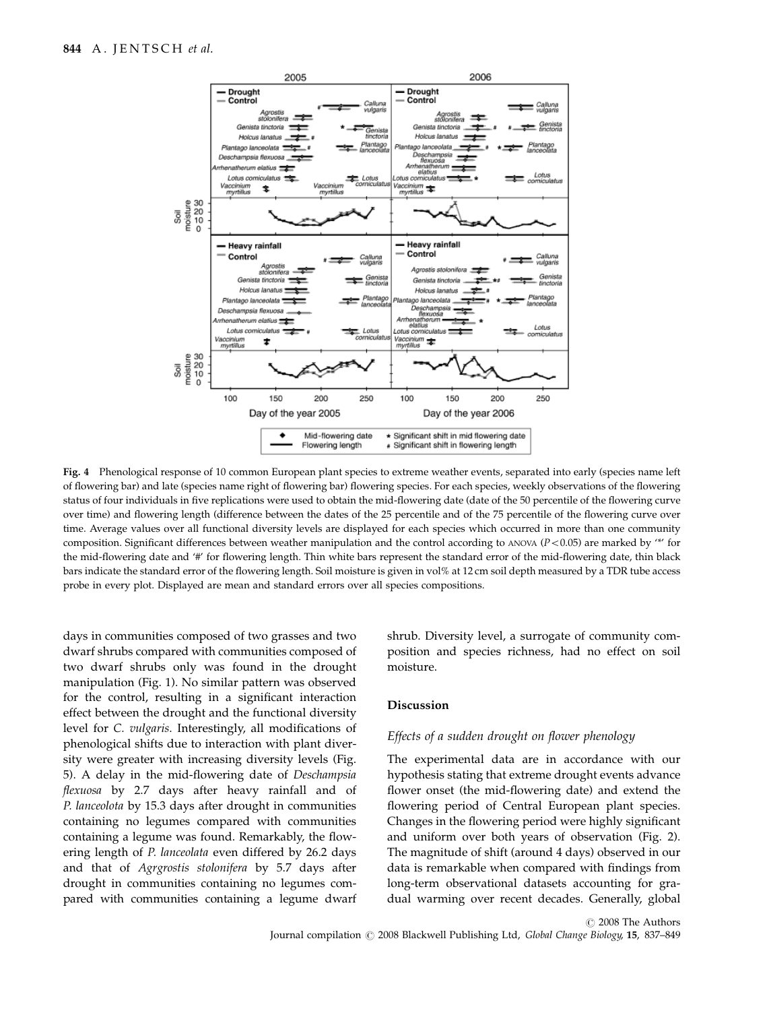

Fig. 4 Phenological response of 10 common European plant species to extreme weather events, separated into early (species name left of flowering bar) and late (species name right of flowering bar) flowering species. For each species, weekly observations of the flowering status of four individuals in five replications were used to obtain the mid-flowering date (date of the 50 percentile of the flowering curve over time) and flowering length (difference between the dates of the 25 percentile and of the 75 percentile of the flowering curve over time. Average values over all functional diversity levels are displayed for each species which occurred in more than one community composition. Significant differences between weather manipulation and the control according to ANOVA ( $P < 0.05$ ) are marked by '\*' for the mid-flowering date and '#' for flowering length. Thin white bars represent the standard error of the mid-flowering date, thin black bars indicate the standard error of the flowering length. Soil moisture is given in vol% at 12 cm soil depth measured by a TDR tube access probe in every plot. Displayed are mean and standard errors over all species compositions.

days in communities composed of two grasses and two dwarf shrubs compared with communities composed of two dwarf shrubs only was found in the drought manipulation (Fig. 1). No similar pattern was observed for the control, resulting in a significant interaction effect between the drought and the functional diversity level for C. vulgaris. Interestingly, all modifications of phenological shifts due to interaction with plant diversity were greater with increasing diversity levels (Fig. 5). A delay in the mid-flowering date of Deschampsia flexuosa by 2.7 days after heavy rainfall and of P. lanceolota by 15.3 days after drought in communities containing no legumes compared with communities containing a legume was found. Remarkably, the flowering length of P. lanceolata even differed by 26.2 days and that of Agrgrostis stolonifera by 5.7 days after drought in communities containing no legumes compared with communities containing a legume dwarf shrub. Diversity level, a surrogate of community composition and species richness, had no effect on soil moisture.

#### Discussion

## Effects of a sudden drought on flower phenology

The experimental data are in accordance with our hypothesis stating that extreme drought events advance flower onset (the mid-flowering date) and extend the flowering period of Central European plant species. Changes in the flowering period were highly significant and uniform over both years of observation (Fig. 2). The magnitude of shift (around 4 days) observed in our data is remarkable when compared with findings from long-term observational datasets accounting for gradual warming over recent decades. Generally, global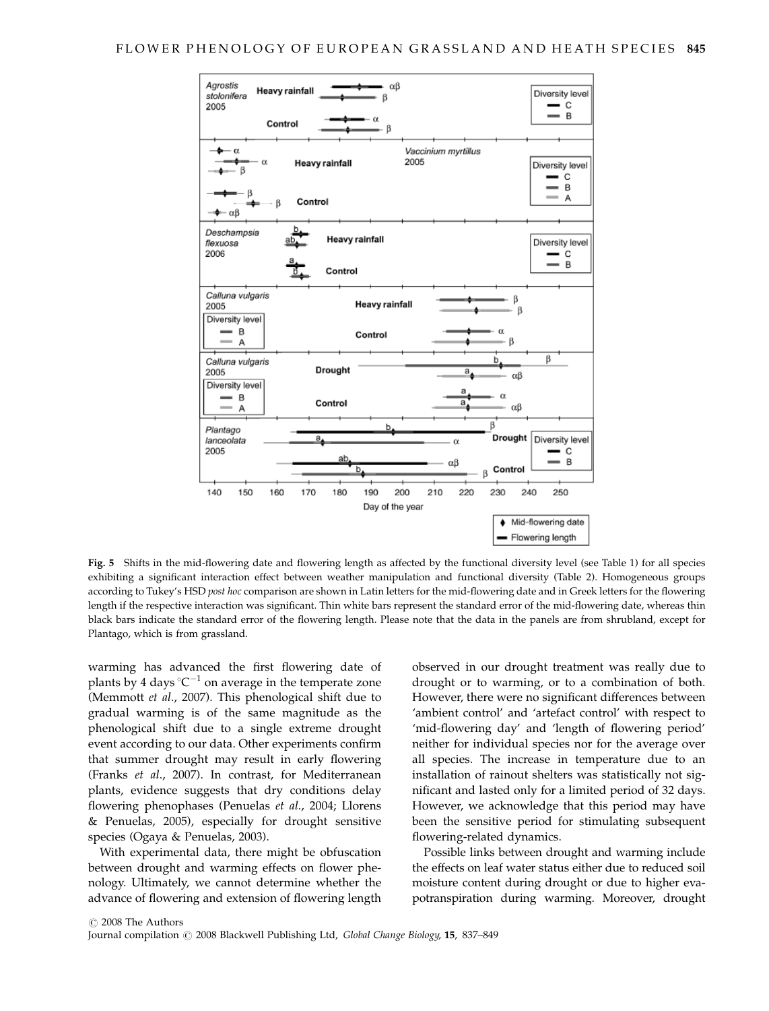

Fig. 5 Shifts in the mid-flowering date and flowering length as affected by the functional diversity level (see Table 1) for all species exhibiting a significant interaction effect between weather manipulation and functional diversity (Table 2). Homogeneous groups according to Tukey's HSD post hoc comparison are shown in Latin letters for the mid-flowering date and in Greek letters for the flowering length if the respective interaction was significant. Thin white bars represent the standard error of the mid-flowering date, whereas thin black bars indicate the standard error of the flowering length. Please note that the data in the panels are from shrubland, except for Plantago, which is from grassland.

warming has advanced the first flowering date of plants by 4 days  ${}^{\circ}C^{-1}$  on average in the temperate zone (Memmott et al., 2007). This phenological shift due to gradual warming is of the same magnitude as the phenological shift due to a single extreme drought event according to our data. Other experiments confirm that summer drought may result in early flowering (Franks et al., 2007). In contrast, for Mediterranean plants, evidence suggests that dry conditions delay flowering phenophases (Penuelas et al., 2004; Llorens & Penuelas, 2005), especially for drought sensitive species (Ogaya & Penuelas, 2003).

With experimental data, there might be obfuscation between drought and warming effects on flower phenology. Ultimately, we cannot determine whether the advance of flowering and extension of flowering length

observed in our drought treatment was really due to drought or to warming, or to a combination of both. However, there were no significant differences between 'ambient control' and 'artefact control' with respect to 'mid-flowering day' and 'length of flowering period' neither for individual species nor for the average over all species. The increase in temperature due to an installation of rainout shelters was statistically not significant and lasted only for a limited period of 32 days. However, we acknowledge that this period may have been the sensitive period for stimulating subsequent flowering-related dynamics.

Possible links between drought and warming include the effects on leaf water status either due to reduced soil moisture content during drought or due to higher evapotranspiration during warming. Moreover, drought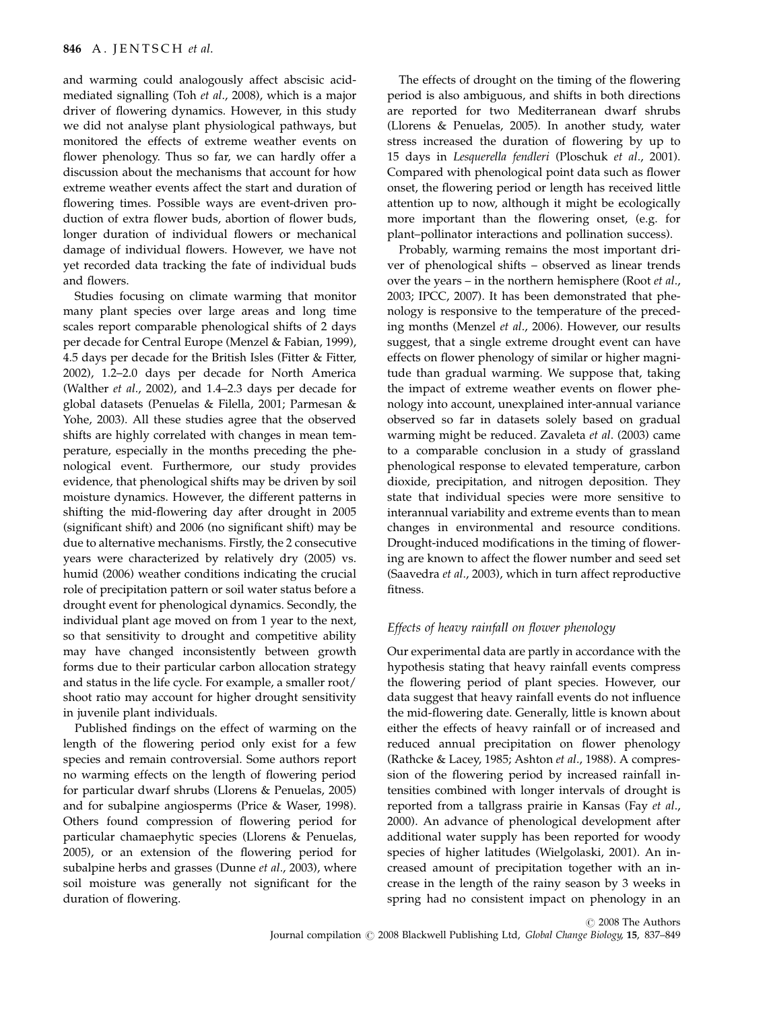and warming could analogously affect abscisic acidmediated signalling (Toh et al., 2008), which is a major driver of flowering dynamics. However, in this study we did not analyse plant physiological pathways, but monitored the effects of extreme weather events on flower phenology. Thus so far, we can hardly offer a discussion about the mechanisms that account for how extreme weather events affect the start and duration of flowering times. Possible ways are event-driven production of extra flower buds, abortion of flower buds, longer duration of individual flowers or mechanical damage of individual flowers. However, we have not yet recorded data tracking the fate of individual buds and flowers.

Studies focusing on climate warming that monitor many plant species over large areas and long time scales report comparable phenological shifts of 2 days per decade for Central Europe (Menzel & Fabian, 1999), 4.5 days per decade for the British Isles (Fitter & Fitter, 2002), 1.2–2.0 days per decade for North America (Walther et al., 2002), and 1.4–2.3 days per decade for global datasets (Penuelas & Filella, 2001; Parmesan & Yohe, 2003). All these studies agree that the observed shifts are highly correlated with changes in mean temperature, especially in the months preceding the phenological event. Furthermore, our study provides evidence, that phenological shifts may be driven by soil moisture dynamics. However, the different patterns in shifting the mid-flowering day after drought in 2005 (significant shift) and 2006 (no significant shift) may be due to alternative mechanisms. Firstly, the 2 consecutive years were characterized by relatively dry (2005) vs. humid (2006) weather conditions indicating the crucial role of precipitation pattern or soil water status before a drought event for phenological dynamics. Secondly, the individual plant age moved on from 1 year to the next, so that sensitivity to drought and competitive ability may have changed inconsistently between growth forms due to their particular carbon allocation strategy and status in the life cycle. For example, a smaller root/ shoot ratio may account for higher drought sensitivity in juvenile plant individuals.

Published findings on the effect of warming on the length of the flowering period only exist for a few species and remain controversial. Some authors report no warming effects on the length of flowering period for particular dwarf shrubs (Llorens & Penuelas, 2005) and for subalpine angiosperms (Price & Waser, 1998). Others found compression of flowering period for particular chamaephytic species (Llorens & Penuelas, 2005), or an extension of the flowering period for subalpine herbs and grasses (Dunne et al., 2003), where soil moisture was generally not significant for the duration of flowering.

The effects of drought on the timing of the flowering period is also ambiguous, and shifts in both directions are reported for two Mediterranean dwarf shrubs (Llorens & Penuelas, 2005). In another study, water stress increased the duration of flowering by up to 15 days in Lesquerella fendleri (Ploschuk et al., 2001). Compared with phenological point data such as flower onset, the flowering period or length has received little attention up to now, although it might be ecologically more important than the flowering onset, (e.g. for plant–pollinator interactions and pollination success).

Probably, warming remains the most important driver of phenological shifts – observed as linear trends over the years – in the northern hemisphere (Root et al., 2003; IPCC, 2007). It has been demonstrated that phenology is responsive to the temperature of the preceding months (Menzel et al., 2006). However, our results suggest, that a single extreme drought event can have effects on flower phenology of similar or higher magnitude than gradual warming. We suppose that, taking the impact of extreme weather events on flower phenology into account, unexplained inter-annual variance observed so far in datasets solely based on gradual warming might be reduced. Zavaleta et al. (2003) came to a comparable conclusion in a study of grassland phenological response to elevated temperature, carbon dioxide, precipitation, and nitrogen deposition. They state that individual species were more sensitive to interannual variability and extreme events than to mean changes in environmental and resource conditions. Drought-induced modifications in the timing of flowering are known to affect the flower number and seed set (Saavedra et al., 2003), which in turn affect reproductive fitness.

# Effects of heavy rainfall on flower phenology

Our experimental data are partly in accordance with the hypothesis stating that heavy rainfall events compress the flowering period of plant species. However, our data suggest that heavy rainfall events do not influence the mid-flowering date. Generally, little is known about either the effects of heavy rainfall or of increased and reduced annual precipitation on flower phenology (Rathcke & Lacey, 1985; Ashton et al., 1988). A compression of the flowering period by increased rainfall intensities combined with longer intervals of drought is reported from a tallgrass prairie in Kansas (Fay et al., 2000). An advance of phenological development after additional water supply has been reported for woody species of higher latitudes (Wielgolaski, 2001). An increased amount of precipitation together with an increase in the length of the rainy season by 3 weeks in spring had no consistent impact on phenology in an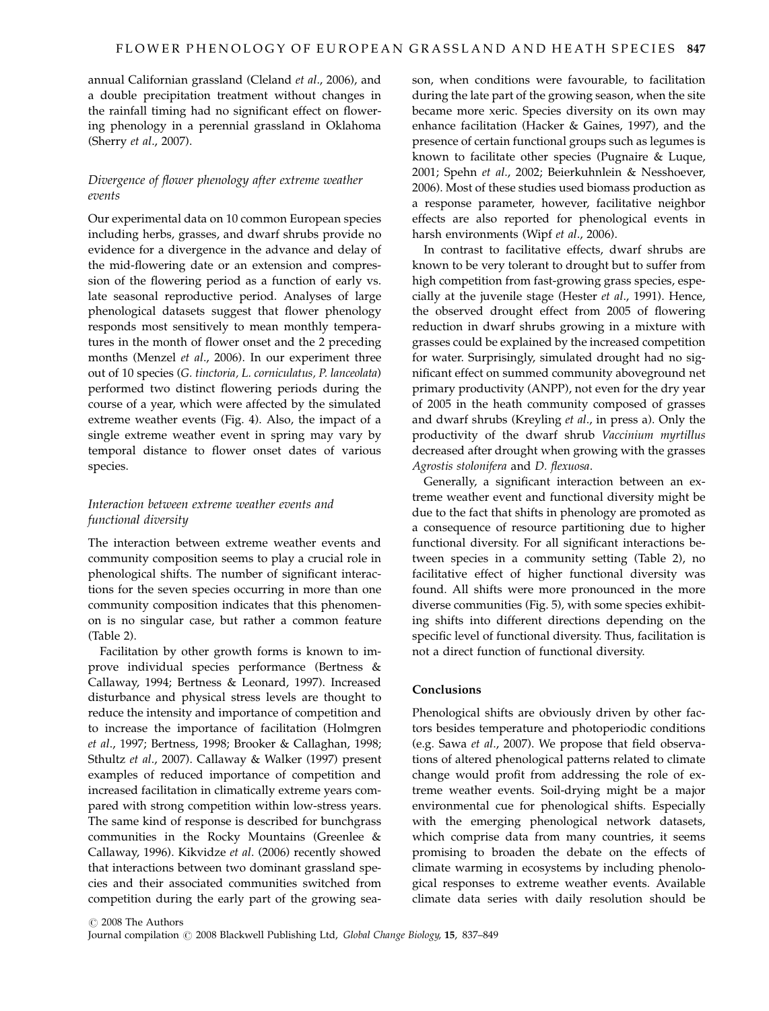annual Californian grassland (Cleland et al., 2006), and a double precipitation treatment without changes in the rainfall timing had no significant effect on flowering phenology in a perennial grassland in Oklahoma (Sherry et al., 2007).

# Divergence of flower phenology after extreme weather events

Our experimental data on 10 common European species including herbs, grasses, and dwarf shrubs provide no evidence for a divergence in the advance and delay of the mid-flowering date or an extension and compression of the flowering period as a function of early vs. late seasonal reproductive period. Analyses of large phenological datasets suggest that flower phenology responds most sensitively to mean monthly temperatures in the month of flower onset and the 2 preceding months (Menzel et al., 2006). In our experiment three out of 10 species (G. tinctoria, L. corniculatus, P. lanceolata) performed two distinct flowering periods during the course of a year, which were affected by the simulated extreme weather events (Fig. 4). Also, the impact of a single extreme weather event in spring may vary by temporal distance to flower onset dates of various species.

# Interaction between extreme weather events and functional diversity

The interaction between extreme weather events and community composition seems to play a crucial role in phenological shifts. The number of significant interactions for the seven species occurring in more than one community composition indicates that this phenomenon is no singular case, but rather a common feature (Table 2).

Facilitation by other growth forms is known to improve individual species performance (Bertness & Callaway, 1994; Bertness & Leonard, 1997). Increased disturbance and physical stress levels are thought to reduce the intensity and importance of competition and to increase the importance of facilitation (Holmgren et al., 1997; Bertness, 1998; Brooker & Callaghan, 1998; Sthultz et al., 2007). Callaway & Walker (1997) present examples of reduced importance of competition and increased facilitation in climatically extreme years compared with strong competition within low-stress years. The same kind of response is described for bunchgrass communities in the Rocky Mountains (Greenlee & Callaway, 1996). Kikvidze et al. (2006) recently showed that interactions between two dominant grassland species and their associated communities switched from competition during the early part of the growing sea-

son, when conditions were favourable, to facilitation during the late part of the growing season, when the site became more xeric. Species diversity on its own may enhance facilitation (Hacker & Gaines, 1997), and the presence of certain functional groups such as legumes is known to facilitate other species (Pugnaire & Luque, 2001; Spehn et al., 2002; Beierkuhnlein & Nesshoever, 2006). Most of these studies used biomass production as a response parameter, however, facilitative neighbor effects are also reported for phenological events in harsh environments (Wipf et al., 2006).

In contrast to facilitative effects, dwarf shrubs are known to be very tolerant to drought but to suffer from high competition from fast-growing grass species, especially at the juvenile stage (Hester et al., 1991). Hence, the observed drought effect from 2005 of flowering reduction in dwarf shrubs growing in a mixture with grasses could be explained by the increased competition for water. Surprisingly, simulated drought had no significant effect on summed community aboveground net primary productivity (ANPP), not even for the dry year of 2005 in the heath community composed of grasses and dwarf shrubs (Kreyling et al., in press a). Only the productivity of the dwarf shrub Vaccinium myrtillus decreased after drought when growing with the grasses Agrostis stolonifera and D. flexuosa.

Generally, a significant interaction between an extreme weather event and functional diversity might be due to the fact that shifts in phenology are promoted as a consequence of resource partitioning due to higher functional diversity. For all significant interactions between species in a community setting (Table 2), no facilitative effect of higher functional diversity was found. All shifts were more pronounced in the more diverse communities (Fig. 5), with some species exhibiting shifts into different directions depending on the specific level of functional diversity. Thus, facilitation is not a direct function of functional diversity.

## Conclusions

Phenological shifts are obviously driven by other factors besides temperature and photoperiodic conditions (e.g. Sawa et al., 2007). We propose that field observations of altered phenological patterns related to climate change would profit from addressing the role of extreme weather events. Soil-drying might be a major environmental cue for phenological shifts. Especially with the emerging phenological network datasets, which comprise data from many countries, it seems promising to broaden the debate on the effects of climate warming in ecosystems by including phenological responses to extreme weather events. Available climate data series with daily resolution should be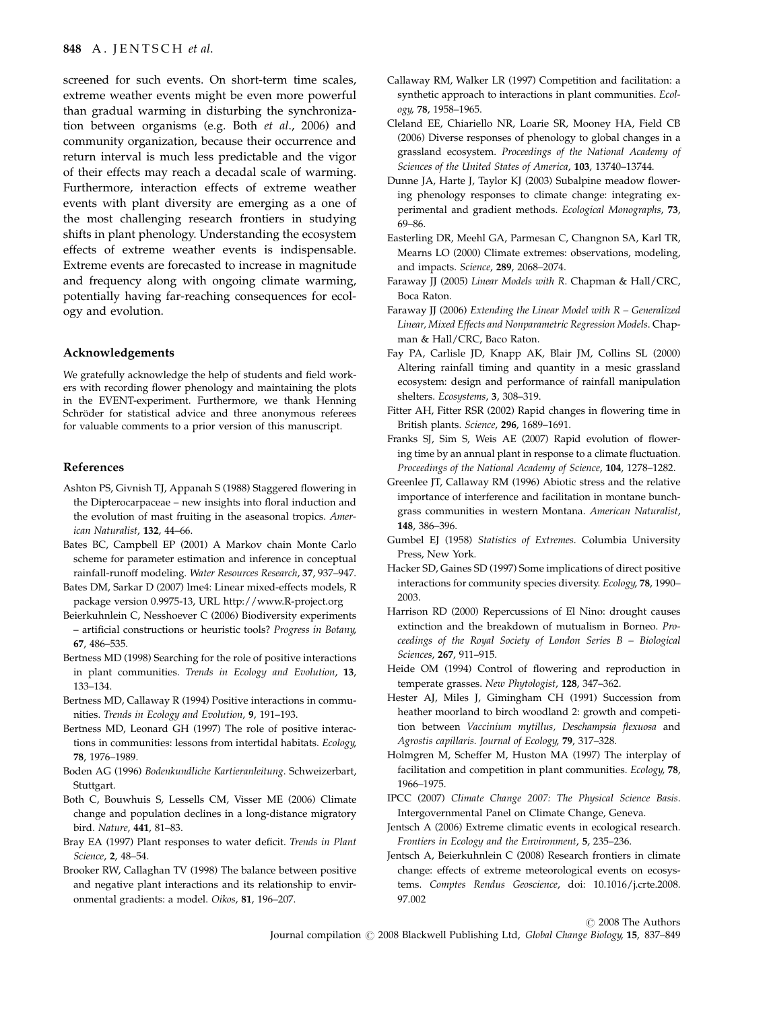screened for such events. On short-term time scales, extreme weather events might be even more powerful than gradual warming in disturbing the synchronization between organisms (e.g. Both et al., 2006) and community organization, because their occurrence and return interval is much less predictable and the vigor of their effects may reach a decadal scale of warming. Furthermore, interaction effects of extreme weather events with plant diversity are emerging as a one of the most challenging research frontiers in studying shifts in plant phenology. Understanding the ecosystem effects of extreme weather events is indispensable. Extreme events are forecasted to increase in magnitude and frequency along with ongoing climate warming, potentially having far-reaching consequences for ecology and evolution.

#### Acknowledgements

We gratefully acknowledge the help of students and field workers with recording flower phenology and maintaining the plots in the EVENT-experiment. Furthermore, we thank Henning Schröder for statistical advice and three anonymous referees for valuable comments to a prior version of this manuscript.

#### References

- Ashton PS, Givnish TJ, Appanah S (1988) Staggered flowering in the Dipterocarpaceae – new insights into floral induction and the evolution of mast fruiting in the aseasonal tropics. American Naturalist, 132, 44–66.
- Bates BC, Campbell EP (2001) A Markov chain Monte Carlo scheme for parameter estimation and inference in conceptual rainfall-runoff modeling. Water Resources Research, 37, 937–947.
- Bates DM, Sarkar D (2007) lme4: Linear mixed-effects models, R package version 0.9975-13, URL http://www.R-project.org
- Beierkuhnlein C, Nesshoever C (2006) Biodiversity experiments – artificial constructions or heuristic tools? Progress in Botany, 67, 486–535.
- Bertness MD (1998) Searching for the role of positive interactions in plant communities. Trends in Ecology and Evolution, 13, 133–134.
- Bertness MD, Callaway R (1994) Positive interactions in communities. Trends in Ecology and Evolution, 9, 191–193.
- Bertness MD, Leonard GH (1997) The role of positive interactions in communities: lessons from intertidal habitats. Ecology, 78, 1976–1989.
- Boden AG (1996) Bodenkundliche Kartieranleitung. Schweizerbart, Stuttgart.
- Both C, Bouwhuis S, Lessells CM, Visser ME (2006) Climate change and population declines in a long-distance migratory bird. Nature, 441, 81–83.
- Bray EA (1997) Plant responses to water deficit. Trends in Plant Science, 2, 48–54.
- Brooker RW, Callaghan TV (1998) The balance between positive and negative plant interactions and its relationship to environmental gradients: a model. Oikos, 81, 196–207.
- Callaway RM, Walker LR (1997) Competition and facilitation: a synthetic approach to interactions in plant communities. Ecology, 78, 1958–1965.
- Cleland EE, Chiariello NR, Loarie SR, Mooney HA, Field CB (2006) Diverse responses of phenology to global changes in a grassland ecosystem. Proceedings of the National Academy of Sciences of the United States of America, 103, 13740–13744.
- Dunne JA, Harte J, Taylor KJ (2003) Subalpine meadow flowering phenology responses to climate change: integrating experimental and gradient methods. Ecological Monographs, 73, 69–86.
- Easterling DR, Meehl GA, Parmesan C, Changnon SA, Karl TR, Mearns LO (2000) Climate extremes: observations, modeling, and impacts. Science, 289, 2068–2074.
- Faraway JJ (2005) Linear Models with R. Chapman & Hall/CRC, Boca Raton.
- Faraway JJ (2006) Extending the Linear Model with R Generalized Linear, Mixed Effects and Nonparametric Regression Models. Chapman & Hall/CRC, Baco Raton.
- Fay PA, Carlisle JD, Knapp AK, Blair JM, Collins SL (2000) Altering rainfall timing and quantity in a mesic grassland ecosystem: design and performance of rainfall manipulation shelters. Ecosystems, 3, 308–319.
- Fitter AH, Fitter RSR (2002) Rapid changes in flowering time in British plants. Science, 296, 1689–1691.
- Franks SJ, Sim S, Weis AE (2007) Rapid evolution of flowering time by an annual plant in response to a climate fluctuation. Proceedings of the National Academy of Science, 104, 1278–1282.
- Greenlee JT, Callaway RM (1996) Abiotic stress and the relative importance of interference and facilitation in montane bunchgrass communities in western Montana. American Naturalist, 148, 386–396.
- Gumbel EJ (1958) Statistics of Extremes. Columbia University Press, New York.
- Hacker SD, Gaines SD (1997) Some implications of direct positive interactions for community species diversity. Ecology, 78, 1990– 2003.
- Harrison RD (2000) Repercussions of El Nino: drought causes extinction and the breakdown of mutualism in Borneo. Proceedings of the Royal Society of London Series B – Biological Sciences, 267, 911–915.
- Heide OM (1994) Control of flowering and reproduction in temperate grasses. New Phytologist, 128, 347–362.
- Hester AJ, Miles J, Gimingham CH (1991) Succession from heather moorland to birch woodland 2: growth and competition between Vaccinium mytillus, Deschampsia flexuosa and Agrostis capillaris. Journal of Ecology, 79, 317–328.
- Holmgren M, Scheffer M, Huston MA (1997) The interplay of facilitation and competition in plant communities. Ecology, 78, 1966–1975.
- IPCC (2007) Climate Change 2007: The Physical Science Basis. Intergovernmental Panel on Climate Change, Geneva.
- Jentsch A (2006) Extreme climatic events in ecological research. Frontiers in Ecology and the Environment, 5, 235–236.
- Jentsch A, Beierkuhnlein C (2008) Research frontiers in climate change: effects of extreme meteorological events on ecosystems. Comptes Rendus Geoscience, doi: 10.1016/j.crte.2008. 97.002

 $\odot$  2008 The Authors